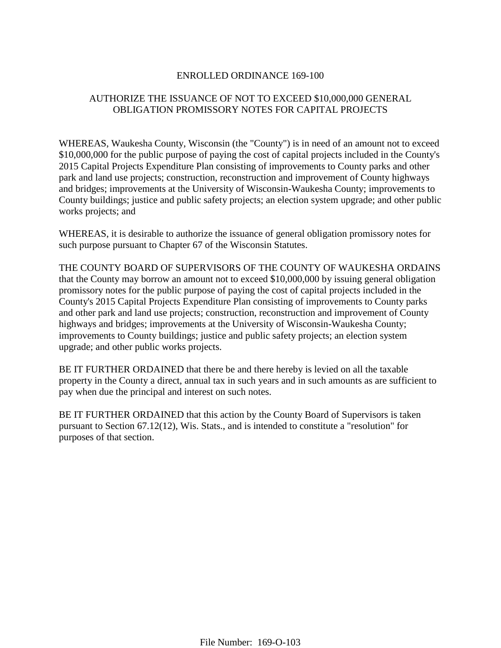## ENROLLED ORDINANCE 169-100

## AUTHORIZE THE ISSUANCE OF NOT TO EXCEED \$10,000,000 GENERAL OBLIGATION PROMISSORY NOTES FOR CAPITAL PROJECTS

WHEREAS, Waukesha County, Wisconsin (the "County") is in need of an amount not to exceed \$10,000,000 for the public purpose of paying the cost of capital projects included in the County's 2015 Capital Projects Expenditure Plan consisting of improvements to County parks and other park and land use projects; construction, reconstruction and improvement of County highways and bridges; improvements at the University of Wisconsin-Waukesha County; improvements to County buildings; justice and public safety projects; an election system upgrade; and other public works projects; and

WHEREAS, it is desirable to authorize the issuance of general obligation promissory notes for such purpose pursuant to Chapter 67 of the Wisconsin Statutes.

THE COUNTY BOARD OF SUPERVISORS OF THE COUNTY OF WAUKESHA ORDAINS that the County may borrow an amount not to exceed \$10,000,000 by issuing general obligation promissory notes for the public purpose of paying the cost of capital projects included in the County's 2015 Capital Projects Expenditure Plan consisting of improvements to County parks and other park and land use projects; construction, reconstruction and improvement of County highways and bridges; improvements at the University of Wisconsin-Waukesha County; improvements to County buildings; justice and public safety projects; an election system upgrade; and other public works projects.

BE IT FURTHER ORDAINED that there be and there hereby is levied on all the taxable property in the County a direct, annual tax in such years and in such amounts as are sufficient to pay when due the principal and interest on such notes.

BE IT FURTHER ORDAINED that this action by the County Board of Supervisors is taken pursuant to Section 67.12(12), Wis. Stats., and is intended to constitute a "resolution" for purposes of that section.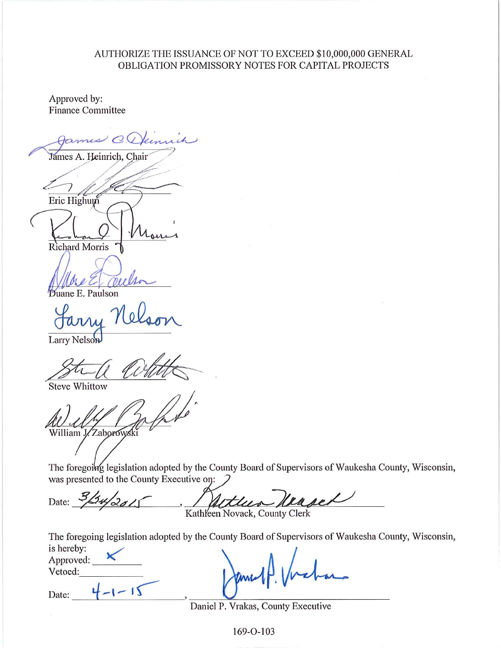## AUTHORIZE THE ISSUANCE OF NOT TO EXCEED \$10,000,000 GENERAL OBLIGATION PROMISSORY NOTES FOR CAPITAL PROJECTS

Approved by: **Finance Committee** 

 $\omega$  C James A. Heinrich, Chair Eric Highum

**Richard Morris** 

uane E. Paulson

Larry Nelson

**Steve Whittow** 

William J. Zaborowski

The foregoing legislation adopted by the County Board of Supervisors of Waukesha County, Wisconsin, was presented to the County Executive on:

 $34/28/$ Date: Kathleen Novack, County Clerk

The foregoing legislation adopted by the County Board of Supervisors of Waukesha County, Wisconsin,

Date:

 $4 - 1 - 15$ 

Daniel P. Vrakas, County Executive

169-O-103